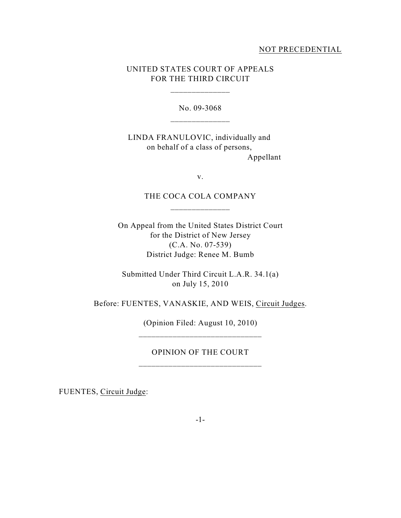#### NOT PRECEDENTIAL

# UNITED STATES COURT OF APPEALS FOR THE THIRD CIRCUIT

\_\_\_\_\_\_\_\_\_\_\_\_\_\_

No. 09-3068

LINDA FRANULOVIC, individually and on behalf of a class of persons, Appellant

v.

THE COCA COLA COMPANY \_\_\_\_\_\_\_\_\_\_\_\_\_\_

On Appeal from the United States District Court for the District of New Jersey (C.A. No. 07-539) District Judge: Renee M. Bumb

Submitted Under Third Circuit L.A.R. 34.1(a) on July 15, 2010

Before: FUENTES, VANASKIE, AND WEIS, Circuit Judges.

(Opinion Filed: August 10, 2010) \_\_\_\_\_\_\_\_\_\_\_\_\_\_\_\_\_\_\_\_\_\_\_\_\_\_\_\_\_

OPINION OF THE COURT \_\_\_\_\_\_\_\_\_\_\_\_\_\_\_\_\_\_\_\_\_\_\_\_\_\_\_\_\_

FUENTES, Circuit Judge: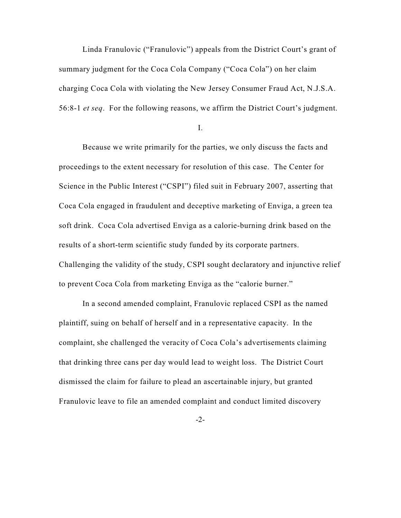Linda Franulovic ("Franulovic") appeals from the District Court's grant of summary judgment for the Coca Cola Company ("Coca Cola") on her claim charging Coca Cola with violating the New Jersey Consumer Fraud Act, N.J.S.A. 56:8-1 *et seq*. For the following reasons, we affirm the District Court's judgment.

I.

Because we write primarily for the parties, we only discuss the facts and proceedings to the extent necessary for resolution of this case. The Center for Science in the Public Interest ("CSPI") filed suit in February 2007, asserting that Coca Cola engaged in fraudulent and deceptive marketing of Enviga, a green tea soft drink. Coca Cola advertised Enviga as a calorie-burning drink based on the results of a short-term scientific study funded by its corporate partners. Challenging the validity of the study, CSPI sought declaratory and injunctive relief to prevent Coca Cola from marketing Enviga as the "calorie burner."

In a second amended complaint, Franulovic replaced CSPI as the named plaintiff, suing on behalf of herself and in a representative capacity. In the complaint, she challenged the veracity of Coca Cola's advertisements claiming that drinking three cans per day would lead to weight loss. The District Court dismissed the claim for failure to plead an ascertainable injury, but granted Franulovic leave to file an amended complaint and conduct limited discovery

-2-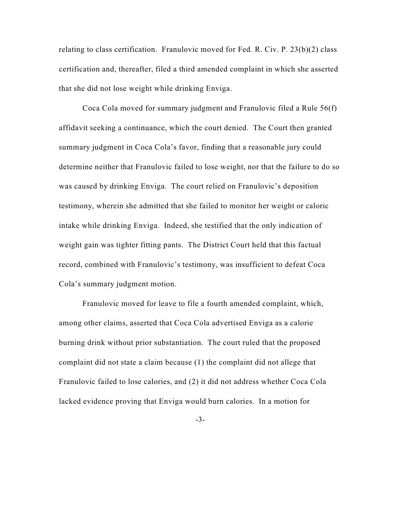relating to class certification. Franulovic moved for Fed. R. Civ. P. 23(b)(2) class certification and, thereafter, filed a third amended complaint in which she asserted that she did not lose weight while drinking Enviga.

Coca Cola moved for summary judgment and Franulovic filed a Rule 56(f) affidavit seeking a continuance, which the court denied. The Court then granted summary judgment in Coca Cola's favor, finding that a reasonable jury could determine neither that Franulovic failed to lose weight, nor that the failure to do so was caused by drinking Enviga. The court relied on Franulovic's deposition testimony, wherein she admitted that she failed to monitor her weight or caloric intake while drinking Enviga. Indeed, she testified that the only indication of weight gain was tighter fitting pants. The District Court held that this factual record, combined with Franulovic's testimony, was insufficient to defeat Coca Cola's summary judgment motion.

Franulovic moved for leave to file a fourth amended complaint, which, among other claims, asserted that Coca Cola advertised Enviga as a calorie burning drink without prior substantiation. The court ruled that the proposed complaint did not state a claim because (1) the complaint did not allege that Franulovic failed to lose calories, and (2) it did not address whether Coca Cola lacked evidence proving that Enviga would burn calories. In a motion for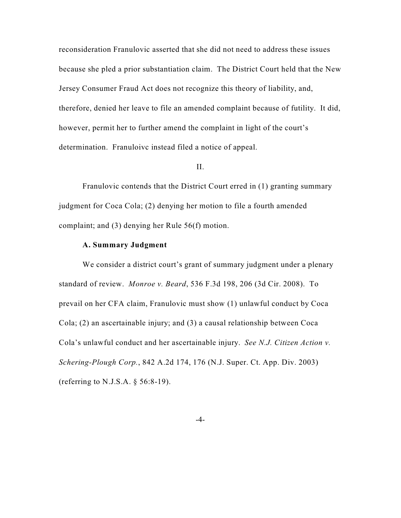reconsideration Franulovic asserted that she did not need to address these issues because she pled a prior substantiation claim. The District Court held that the New Jersey Consumer Fraud Act does not recognize this theory of liability, and, therefore, denied her leave to file an amended complaint because of futility. It did, however, permit her to further amend the complaint in light of the court's determination. Franuloivc instead filed a notice of appeal.

## II.

Franulovic contends that the District Court erred in (1) granting summary judgment for Coca Cola; (2) denying her motion to file a fourth amended complaint; and (3) denying her Rule 56(f) motion.

## **A. Summary Judgment**

We consider a district court's grant of summary judgment under a plenary standard of review. *Monroe v. Beard*, 536 F.3d 198, 206 (3d Cir. 2008). To prevail on her CFA claim, Franulovic must show (1) unlawful conduct by Coca Cola; (2) an ascertainable injury; and (3) a causal relationship between Coca Cola's unlawful conduct and her ascertainable injury. *See N.J. Citizen Action v. Schering-Plough Corp.*, 842 A.2d 174, 176 (N.J. Super. Ct. App. Div. 2003) (referring to N.J.S.A. § 56:8-19).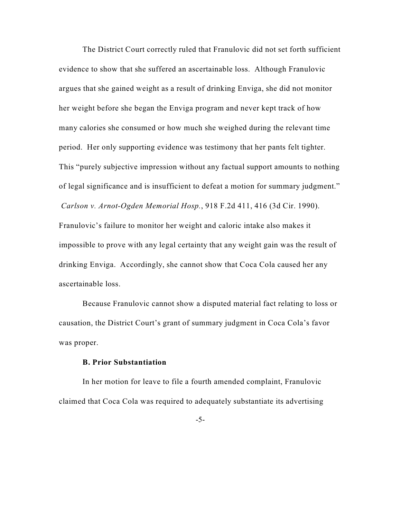The District Court correctly ruled that Franulovic did not set forth sufficient evidence to show that she suffered an ascertainable loss. Although Franulovic argues that she gained weight as a result of drinking Enviga, she did not monitor her weight before she began the Enviga program and never kept track of how many calories she consumed or how much she weighed during the relevant time period. Her only supporting evidence was testimony that her pants felt tighter. This "purely subjective impression without any factual support amounts to nothing of legal significance and is insufficient to defeat a motion for summary judgment."  *Carlson v. Arnot-Ogden Memorial Hosp.*, 918 F.2d 411, 416 (3d Cir. 1990). Franulovic's failure to monitor her weight and caloric intake also makes it impossible to prove with any legal certainty that any weight gain was the result of drinking Enviga. Accordingly, she cannot show that Coca Cola caused her any ascertainable loss.

Because Franulovic cannot show a disputed material fact relating to loss or causation, the District Court's grant of summary judgment in Coca Cola's favor was proper.

### **B. Prior Substantiation**

In her motion for leave to file a fourth amended complaint, Franulovic claimed that Coca Cola was required to adequately substantiate its advertising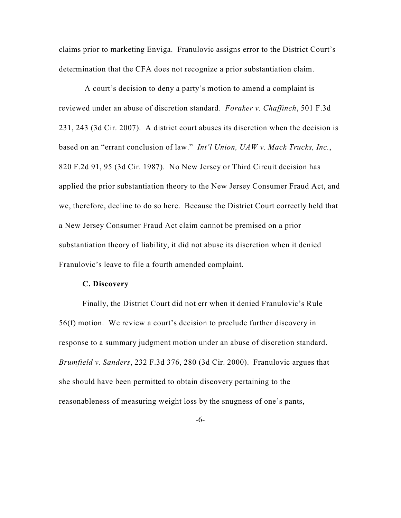claims prior to marketing Enviga. Franulovic assigns error to the District Court's determination that the CFA does not recognize a prior substantiation claim.

 A court's decision to deny a party's motion to amend a complaint is reviewed under an abuse of discretion standard. *Foraker v. Chaffinch*, 501 F.3d 231, 243 (3d Cir. 2007). A district court abuses its discretion when the decision is based on an "errant conclusion of law." *Int'l Union, UAW v. Mack Trucks, Inc.*, 820 F.2d 91, 95 (3d Cir. 1987). No New Jersey or Third Circuit decision has applied the prior substantiation theory to the New Jersey Consumer Fraud Act, and we, therefore, decline to do so here. Because the District Court correctly held that a New Jersey Consumer Fraud Act claim cannot be premised on a prior substantiation theory of liability, it did not abuse its discretion when it denied Franulovic's leave to file a fourth amended complaint.

#### **C. Discovery**

Finally, the District Court did not err when it denied Franulovic's Rule 56(f) motion. We review a court's decision to preclude further discovery in response to a summary judgment motion under an abuse of discretion standard. *Brumfield v. Sanders*, 232 F.3d 376, 280 (3d Cir. 2000). Franulovic argues that she should have been permitted to obtain discovery pertaining to the reasonableness of measuring weight loss by the snugness of one's pants,